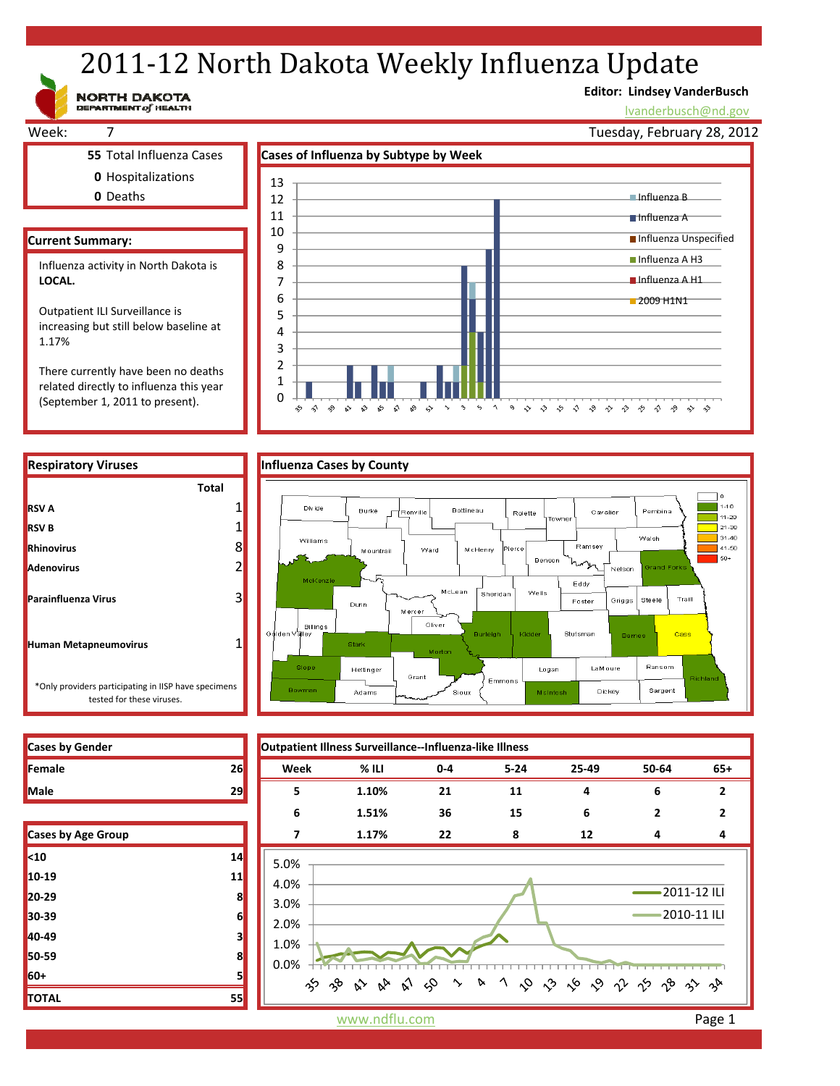# 2011-12 North Dakota Weekly Influenza Update

**Editor: Lindsey VanderBusch**

Influenza B Influenza A

 $\hat{\gamma}$ 

 $\rightsquigarrow$ ∘

9 3 3 5 4 9 9 9 9 9

lvanderbusch@nd.gov

Tuesday, February 28, 2012

**Influenza Unspecified** ■ Influenza A H3 **Influenza A H1** 2009 H1N1



**Respiratory Viruses The County of Limitation Cases by County Total** ٦o 1  $\overline{1}$  1-10 Divide **Burke** Bottineau Renville .<br>Pembina Rolette Cavalier  $11-20$ 1  $\overline{1}$  21-30 Walsh  $31-40$ Williams 8  $141-50$ Ward **McHenry** ierce Mountrail  $\vert$  so+ Benson 2 .<br>Nelson rand Eddy McLean .<br>Sheridar Wells 3 Traill Foster Griggs Steele Dunr Mercei Oliver **Billings** Cass urleigh .<br>⊲idde **Stutsman** Barr 1 Stark Ransom Slope Hettinger Logan LaM oure Grant Emmons Bowmar Adams Sioux Michitos Dickey Sargent



0

 $\hat{\mathcal{C}}$  $\hat{\gamma}$  $\sim$  $\mathbb{R}^3 - \mathbb{R}^3$ చం  $\mathfrak{S}$  $\mathbb{S}^9$   $\lnot \triangleright$  $\sim$  $\rightarrow$  $\varsigma_2$  $\boldsymbol{\gamma}$ 

**Cases by Gender Outpatient Illness Surveillance‐‐Influenza‐like Illness**

| Female                    | 26 | Week | $%$ ILI | $0 - 4$ | $5 - 24$ | 25-49 | 50-64 | $65+$       |
|---------------------------|----|------|---------|---------|----------|-------|-------|-------------|
| Male                      | 29 | 5    | 1.10%   | 21      | 11       | 4     | 6     |             |
|                           |    | 6    | 1.51%   | 36      | 15       | 6     |       |             |
| <b>Cases by Age Group</b> |    | 7    | 1.17%   | 22      | 8        | 12    | 4     | 4           |
| $\vert$ <10               | 14 | 5.0% |         |         |          |       |       |             |
| $10-19$                   | 11 | 4.0% |         |         |          |       |       |             |
| $20-29$                   | 8  | 3.0% |         |         |          |       |       | 2011-12 ILI |
|                           |    |      |         |         |          |       |       |             |

(September 1, 2011 to present).

**30‐39 6 40‐49 3 50‐59 8 60+ 5 TOTAL 55**



www.ndflu.com **Page 1**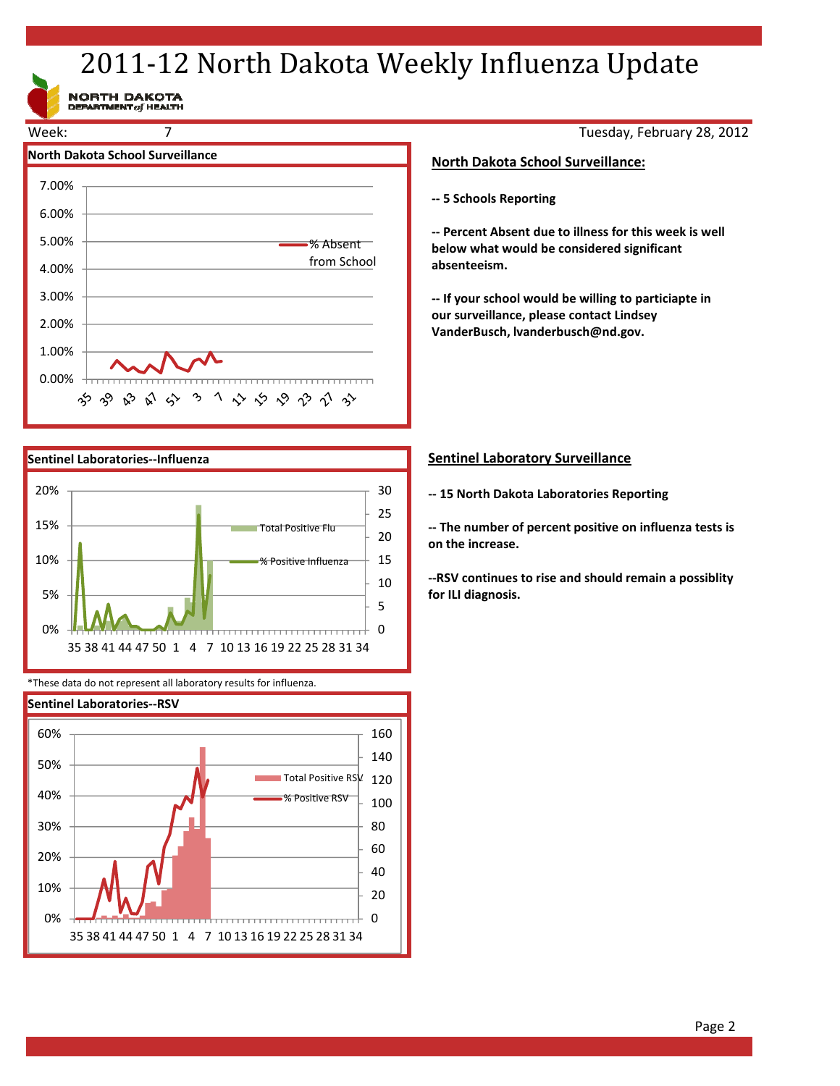# 2011-12 North Dakota Weekly Influenza Update

NORTH DAKOTA<br>DEPARTMENT of HEALTH





\*These data do not represent all laboratory results for influenza.



Tuesday, February 28, 2012

# **North Dakota School Surveillance:**

**‐‐ 5 Schools Reporting**

**‐‐ Percent Absent due to illness for this week is well below what would be considered significant absenteeism.**

**‐‐ If your school would be willing to particiapte in our surveillance, please contact Lindsey VanderBusch, lvanderbusch@nd.gov.**

# **Sentinel Laboratory Surveillance**

**‐‐ 15 North Dakota Laboratories Reporting**

**‐‐ The number of percent positive on influenza tests is on the increase.**

**‐‐RSV continues to rise and should remain a possiblity for ILI diagnosis.**